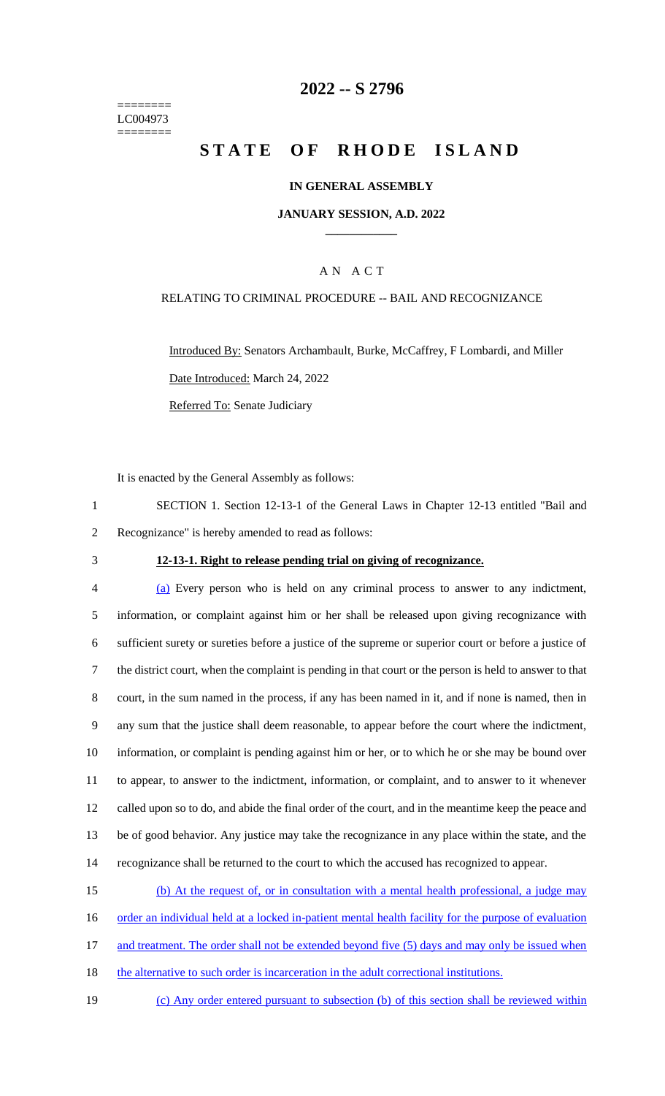======== LC004973 ========

## **2022 -- S 2796**

# **STATE OF RHODE ISLAND**

#### **IN GENERAL ASSEMBLY**

#### **JANUARY SESSION, A.D. 2022 \_\_\_\_\_\_\_\_\_\_\_\_**

### A N A C T

#### RELATING TO CRIMINAL PROCEDURE -- BAIL AND RECOGNIZANCE

Introduced By: Senators Archambault, Burke, McCaffrey, F Lombardi, and Miller Date Introduced: March 24, 2022 Referred To: Senate Judiciary

It is enacted by the General Assembly as follows:

1 SECTION 1. Section 12-13-1 of the General Laws in Chapter 12-13 entitled "Bail and 2 Recognizance" is hereby amended to read as follows:

#### 3 **12-13-1. Right to release pending trial on giving of recognizance.**

 (a) Every person who is held on any criminal process to answer to any indictment, information, or complaint against him or her shall be released upon giving recognizance with sufficient surety or sureties before a justice of the supreme or superior court or before a justice of the district court, when the complaint is pending in that court or the person is held to answer to that court, in the sum named in the process, if any has been named in it, and if none is named, then in any sum that the justice shall deem reasonable, to appear before the court where the indictment, information, or complaint is pending against him or her, or to which he or she may be bound over to appear, to answer to the indictment, information, or complaint, and to answer to it whenever called upon so to do, and abide the final order of the court, and in the meantime keep the peace and be of good behavior. Any justice may take the recognizance in any place within the state, and the recognizance shall be returned to the court to which the accused has recognized to appear.

15 (b) At the request of, or in consultation with a mental health professional, a judge may

16 order an individual held at a locked in-patient mental health facility for the purpose of evaluation

17 and treatment. The order shall not be extended beyond five (5) days and may only be issued when

18 the alternative to such order is incarceration in the adult correctional institutions.

19 (c) Any order entered pursuant to subsection (b) of this section shall be reviewed within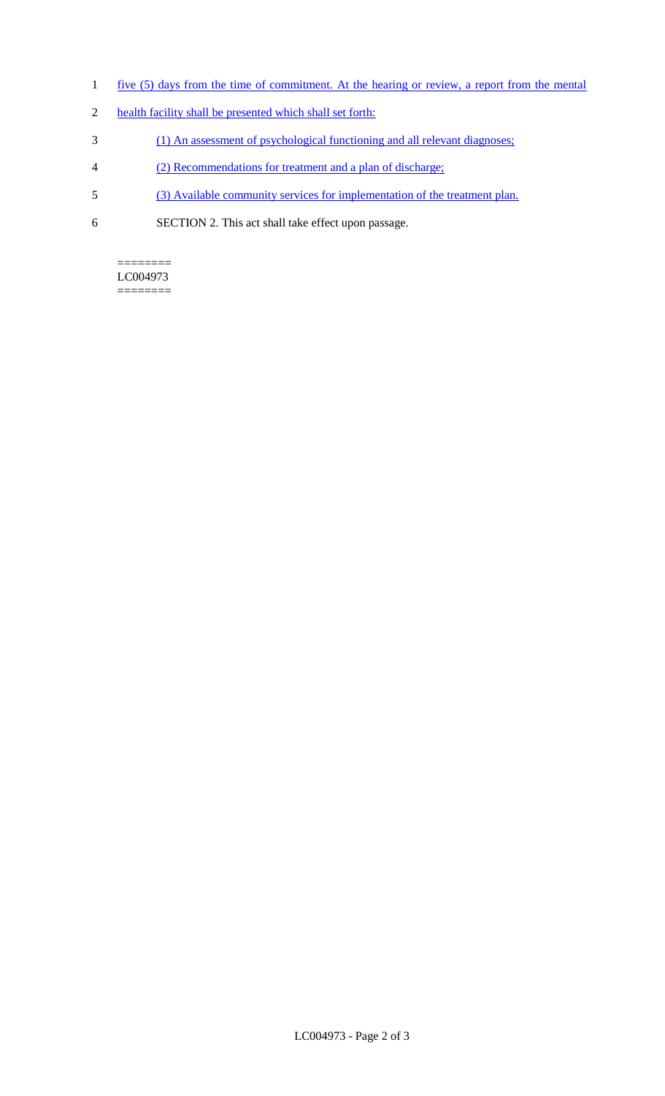- 1 five (5) days from the time of commitment. At the hearing or review, a report from the mental
- 2 health facility shall be presented which shall set forth:
- 3 (1) An assessment of psychological functioning and all relevant diagnoses;
- 4 (2) Recommendations for treatment and a plan of discharge;
- 5 (3) Available community services for implementation of the treatment plan.
- 6 SECTION 2. This act shall take effect upon passage.

### ======== LC004973

========